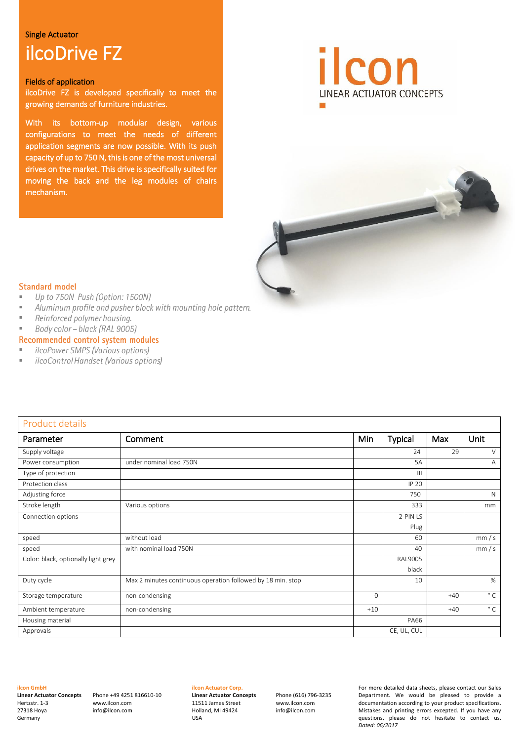#### Single Actuator

# ilcoDrive FZ

#### Fields of application

ilcoDrive FZ is developed specifically to meet the growing demands of furniture industries.

With its bottom-up modular design, various configurations to meet the needs of different application segments are now possible. With its push capacity of up to 750 N, this is one of the most universal drives on the market. This drive is specifically suited for moving the back and the leg modules of chairs mechanism.





#### **Standard model**

- Up to 750N Push (Option: 1500N) E
- Aluminum profile and pusher block with mounting hole pattern. E
- $\overline{a}$ Reinforced polymer housing.
- $\bar{a}$ Body color - black (RAL 9005)

#### Recommended control system modules

- ilcoPower SMPS (Various options)  $\mathbf{u}$
- i. ilcoControl Handset (Various options)

| Product details                     |                                                             |            |                |       |              |
|-------------------------------------|-------------------------------------------------------------|------------|----------------|-------|--------------|
| Parameter                           | Comment                                                     | <b>Min</b> | <b>Typical</b> | Max   | Unit         |
| Supply voltage                      |                                                             |            | 24             | 29    | $\vee$       |
| Power consumption                   | under nominal load 750N                                     |            | 5A             |       | Α            |
| Type of protection                  |                                                             |            | $\mathbf{III}$ |       |              |
| Protection class                    |                                                             |            | IP 20          |       |              |
| Adjusting force                     |                                                             |            | 750            |       | $\mathsf{N}$ |
| Stroke length                       | Various options                                             |            | 333            |       | mm           |
| Connection options                  |                                                             |            | 2-PIN LS       |       |              |
|                                     |                                                             |            | Plug           |       |              |
| speed                               | without load                                                |            | 60             |       | mm/s         |
| speed                               | with nominal load 750N                                      |            | 40             |       | mm/s         |
| Color: black, optionally light grey |                                                             |            | RAL9005        |       |              |
|                                     |                                                             |            | black          |       |              |
| Duty cycle                          | Max 2 minutes continuous operation followed by 18 min. stop |            | 10             |       | %            |
| Storage temperature                 | non-condensing                                              | 0          |                | $+40$ | $^{\circ}$ C |
| Ambient temperature                 | non-condensing                                              | $+10$      |                | $+40$ | $^{\circ}$ C |
| Housing material                    |                                                             |            | <b>PA66</b>    |       |              |
| Approvals                           |                                                             |            | CE, UL, CUL    |       |              |

### **ilcon GmbH**

**Linear Actuator Concepts**  Hertzstr. 1-3 27318 Hoya Germany

Phone +49 4251 816610-10 www.ilcon.com info@ilcon.com

#### **ilcon Actuator Corp.**

**Linear Actuator Concepts**  11511 James Street Holland, MI 49424 USA

Phone (616) 796-3235 www.ilcon.com info@ilcon.com

For more detailed data sheets, please contact our Sales Department. We would be pleased to provide a documentation according to your product specifications. Mistakes and printing errors excepted. If you have any questions, please do not hesitate to contact us. *Dated: 06/2017*